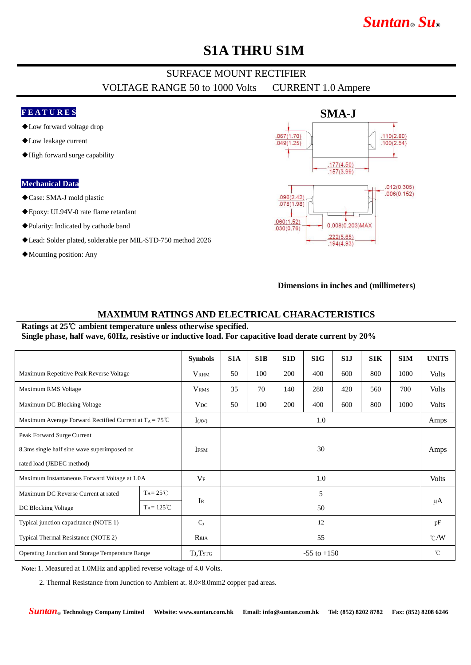# *Suntan***®** *Su***®**

## **S1A THRU S1M**

### SURFACE MOUNT RECTIFIER VOLTAGE RANGE 50 to 1000 Volts CURRENT 1.0 Ampere

### **F E A T U R E S**

- ◆Low forward voltage drop
- ◆Low leakage current
- ◆High forward surge capability

#### **Mechanical Data**

- ◆Case: SMA-J mold plastic
- ◆Epoxy: UL94V-0 rate flame retardant
- ◆Polarity: Indicated by cathode band
- ◆Lead: Solder plated, solderable per MIL-STD-750 method 2026
- ◆Mounting position: Any



#### **Dimensions in inches and (millimeters)**

#### **MAXIMUM RATINGS AND ELECTRICAL CHARACTERISTICS**

#### Ratings at 25℃ ambient temperature unless otherwise specified. **Single phase, half wave, 60Hz, resistive or inductive load. For capacitive load derate current by 20%**

|                                                                   |                     | <b>Symbols</b>  | S <sub>1</sub> A  | S1B | S1D | S <sub>1</sub> G | S1J | S1K | S1M  | <b>UNITS</b>  |
|-------------------------------------------------------------------|---------------------|-----------------|-------------------|-----|-----|------------------|-----|-----|------|---------------|
| Maximum Repetitive Peak Reverse Voltage                           |                     | <b>VRRM</b>     | 50                | 100 | 200 | 400              | 600 | 800 | 1000 | <b>Volts</b>  |
| Maximum RMS Voltage                                               |                     | <b>VRMS</b>     | 35                | 70  | 140 | 280              | 420 | 560 | 700  | <b>Volts</b>  |
| Maximum DC Blocking Voltage                                       |                     | $V_{DC}$        | 50                | 100 | 200 | 400              | 600 | 800 | 1000 | <b>Volts</b>  |
| Maximum Average Forward Rectified Current at $T_A = 75^{\circ}$ C |                     | I(AV)           | 1.0               |     |     |                  |     |     |      | Amps          |
| Peak Forward Surge Current                                        |                     |                 | <b>IFSM</b><br>30 |     |     |                  |     |     |      |               |
| 8.3ms single half sine wave superimposed on                       |                     |                 |                   |     |     |                  |     |     |      | Amps          |
| rated load (JEDEC method)                                         |                     |                 |                   |     |     |                  |     |     |      |               |
| Maximum Instantaneous Forward Voltage at 1.0A                     |                     | $V_{\rm F}$     | 1.0               |     |     |                  |     |     |      | <b>Volts</b>  |
| Maximum DC Reverse Current at rated                               | $Ta = 25^{\circ}C$  |                 | 5<br>50           |     |     |                  |     |     |      | μA            |
| DC Blocking Voltage                                               | $Ta = 125^{\circ}C$ | IR              |                   |     |     |                  |     |     |      |               |
| Typical junction capacitance (NOTE 1)                             |                     | $C_I$           | 12                |     |     |                  |     |     |      | pF            |
| Typical Thermal Resistance (NOTE 2)                               |                     | $R_{\theta JA}$ | 55                |     |     |                  |     |     |      | $\degree$ C/W |
| Operating Junction and Storage Temperature Range                  |                     | TJ, TstG        | $-55$ to $+150$   |     |     |                  |     |     |      | $^{\circ}$ C  |

**Note:** 1. Measured at 1.0MHz and applied reverse voltage of 4.0 Volts.

2. Thermal Resistance from Junction to Ambient at. 8.0×8.0mm2 copper pad areas.